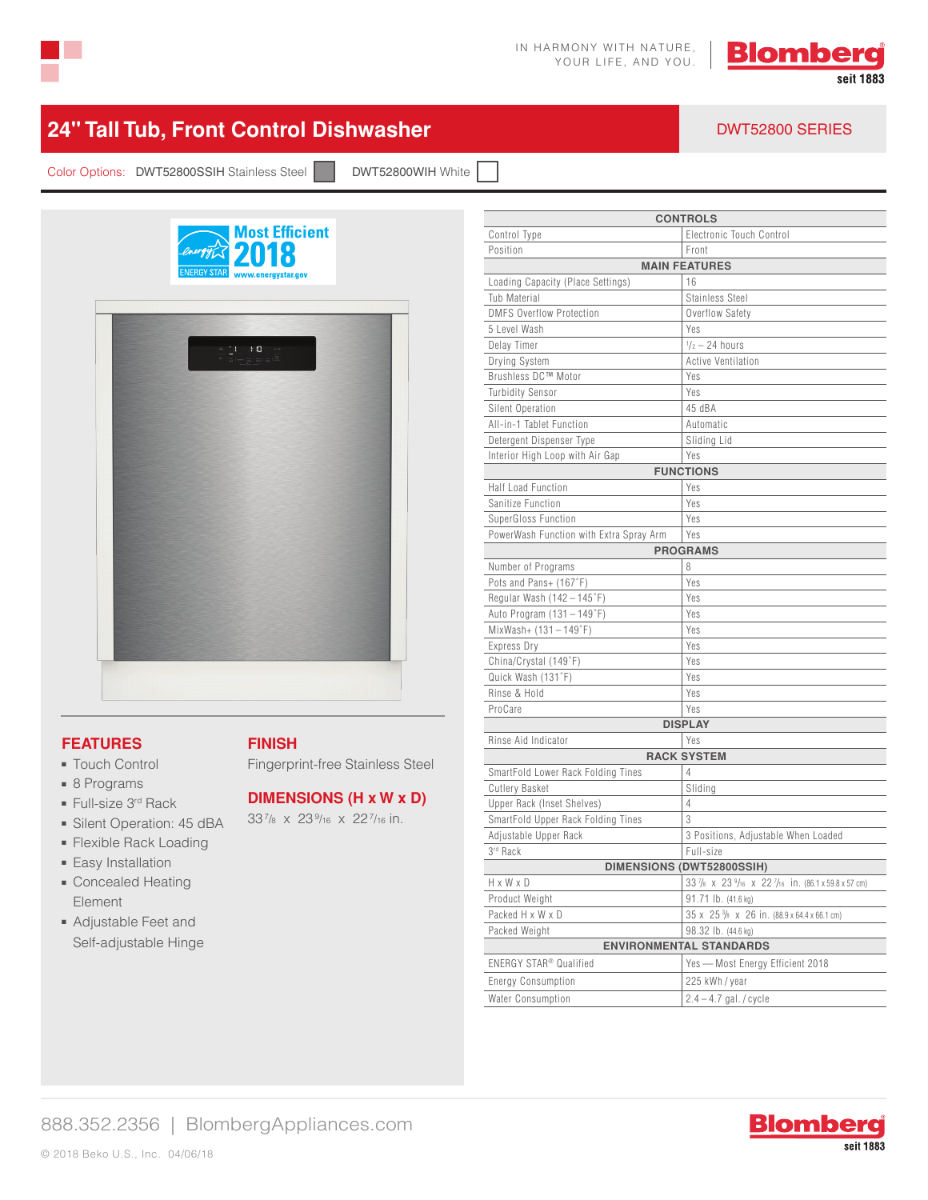



## **24" Tall Tub, Front Control Dishwasher** DWT52800 SERIES

Color Options: DWT52800SSIH Stainless Steel | DWT52800WIH White



#### **FEATURES**

- Touch Control
- 8 Programs
- Full-size 3<sup>rd</sup> Rack
- Silent Operation: 45 dBA
- Flexible Rack Loading
- Easy Installation
- Concealed Heating Element
- Adjustable Feet and Self-adjustable Hinge

### **FINISH**

Fingerprint-free Stainless Steel

#### **DIMENSIONS (H x W x D)**

337/8 x 239/16 x 227/16 in.

| <b>CONTROLS</b>                         |                                                                                 |  |
|-----------------------------------------|---------------------------------------------------------------------------------|--|
| Control Type                            | Electronic Touch Control                                                        |  |
| Position                                | Front                                                                           |  |
| <b>MAIN FEATURES</b>                    |                                                                                 |  |
| Loading Capacity (Place Settings)       | 16                                                                              |  |
| Tub Material                            | Stainless Steel                                                                 |  |
| <b>DMFS Overflow Protection</b>         | Overflow Safety                                                                 |  |
| 5 Level Wash                            | Yes                                                                             |  |
| Delay Timer                             | $\frac{1}{2}$ – 24 hours                                                        |  |
| Drying System                           | Active Ventilation                                                              |  |
| Brushless DC™ Motor                     | Yes                                                                             |  |
| <b>Turbidity Sensor</b>                 | Yes                                                                             |  |
| Silent Operation                        | 45 dBA                                                                          |  |
| All-in-1 Tablet Function                | Automatic                                                                       |  |
| Detergent Dispenser Type                | Sliding Lid                                                                     |  |
| Interior High Loop with Air Gap         | Yes                                                                             |  |
| <b>FUNCTIONS</b>                        |                                                                                 |  |
| Half Load Function                      | Yes                                                                             |  |
| Sanitize Function                       | Yes                                                                             |  |
| SuperGloss Function                     | Yes                                                                             |  |
| PowerWash Function with Extra Spray Arm | Yes                                                                             |  |
| <b>PROGRAMS</b>                         |                                                                                 |  |
| Number of Programs                      | 8                                                                               |  |
| Pots and Pans+ (167°F)                  | Yes                                                                             |  |
| Regular Wash $(142 - 145)$ °F)          | Yes                                                                             |  |
| Auto Program $(131 - 149\degree F)$     | Yes                                                                             |  |
| $MixWash+(131-149°F)$                   | Yes                                                                             |  |
| Express Dry                             | Yes                                                                             |  |
| China/Crystal (149°F)                   | Yes                                                                             |  |
| Quick Wash (131°F)                      | Yes                                                                             |  |
| Rinse & Hold                            | Yes                                                                             |  |
| ProCare                                 | Yes                                                                             |  |
| <b>DISPLAY</b>                          |                                                                                 |  |
| Rinse Aid Indicator<br>Yes              |                                                                                 |  |
|                                         | <b>RACK SYSTEM</b>                                                              |  |
| SmartFold Lower Rack Folding Tines      | 4                                                                               |  |
| <b>Cutlery Basket</b>                   | Sliding                                                                         |  |
| Upper Rack (Inset Shelves)              | 4                                                                               |  |
| SmartFold Upper Rack Folding Tines      | 3                                                                               |  |
| Adjustable Upper Rack                   | 3 Positions, Adjustable When Loaded                                             |  |
| 3rd Rack                                | Full-size                                                                       |  |
| DIMENSIONS (DWT52800SSIH)               |                                                                                 |  |
| HxWxD                                   | $33\frac{7}{8}$ x $23\frac{9}{16}$ x $22\frac{7}{16}$ in. (86.1 x 59.8 x 57 cm) |  |
| Product Weight                          | 91.71 lb. (41.6 kg)                                                             |  |
| Packed H x W x D                        | 35 x 25 % x 26 in. (88.9 x 64.4 x 66.1 cm)                                      |  |
| Packed Weight                           | 98.32 lb. (44.6 kg)                                                             |  |
| <b>ENVIRONMENTAL STANDARDS</b>          |                                                                                 |  |
| ENERGY STAR® Qualified                  | Yes — Most Energy Efficient 2018                                                |  |
| <b>Energy Consumption</b>               | 225 kWh / year                                                                  |  |
| Water Consumption                       | $2.4 - 4.7$ gal. / cycle                                                        |  |
|                                         |                                                                                 |  |

### 888.352.2356 | BlombergAppliances.com